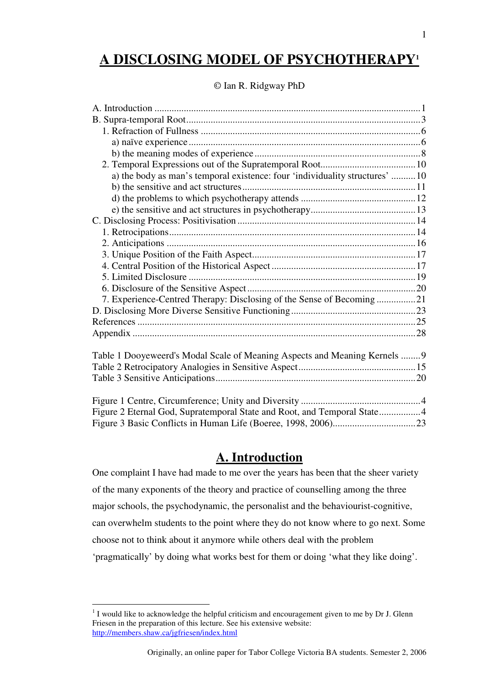# **A DISCLOSING MODEL OF PSYCHOTHERAPY<sup>1</sup>**

### © Ian R. Ridgway PhD

## **A. Introduction**

One complaint I have had made to me over the years has been that the sheer variety of the many exponents of the theory and practice of counselling among the three major schools, the psychodynamic, the personalist and the behaviourist-cognitive, can overwhelm students to the point where they do not know where to go next. Some choose not to think about it anymore while others deal with the problem 'pragmatically' by doing what works best for them or doing 'what they like doing'.

 $1$  I would like to acknowledge the helpful criticism and encouragement given to me by Dr J. Glenn Friesen in the preparation of this lecture. See his extensive website: http://members.shaw.ca/jgfriesen/index.html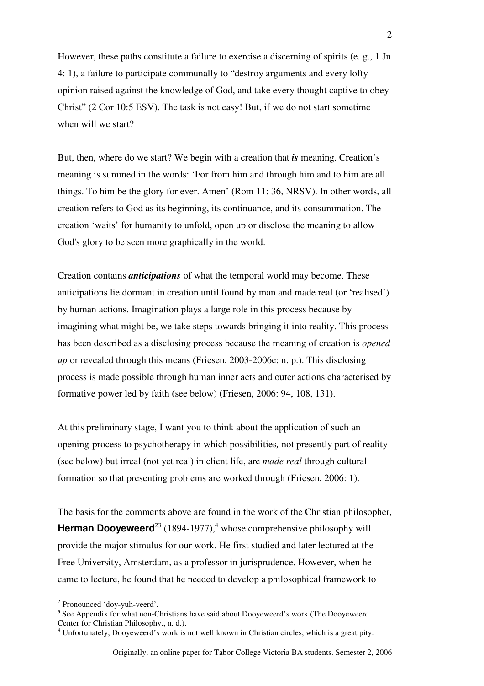However, these paths constitute a failure to exercise a discerning of spirits (e. g., 1 Jn 4: 1), a failure to participate communally to "destroy arguments and every lofty opinion raised against the knowledge of God, and take every thought captive to obey Christ" (2 Cor 10:5 ESV). The task is not easy! But, if we do not start sometime when will we start?

But, then, where do we start? We begin with a creation that *is* meaning. Creation's meaning is summed in the words: 'For from him and through him and to him are all things. To him be the glory for ever. Amen' (Rom 11: 36, NRSV). In other words, all creation refers to God as its beginning, its continuance, and its consummation. The creation 'waits' for humanity to unfold, open up or disclose the meaning to allow God's glory to be seen more graphically in the world.

Creation contains *anticipations* of what the temporal world may become. These anticipations lie dormant in creation until found by man and made real (or 'realised') by human actions. Imagination plays a large role in this process because by imagining what might be, we take steps towards bringing it into reality. This process has been described as a disclosing process because the meaning of creation is *opened up* or revealed through this means (Friesen, 2003-2006e: n. p.). This disclosing process is made possible through human inner acts and outer actions characterised by formative power led by faith (see below) (Friesen, 2006: 94, 108, 131).

At this preliminary stage, I want you to think about the application of such an opening-process to psychotherapy in which possibilities*,* not presently part of reality (see below) but irreal (not yet real) in client life, are *made real* through cultural formation so that presenting problems are worked through (Friesen, 2006: 1).

The basis for the comments above are found in the work of the Christian philosopher, **Herman Dooyeweerd**<sup>23</sup> (1894-1977),<sup>4</sup> whose comprehensive philosophy will provide the major stimulus for our work. He first studied and later lectured at the Free University, Amsterdam, as a professor in jurisprudence. However, when he came to lecture, he found that he needed to develop a philosophical framework to

<sup>&</sup>lt;sup>2</sup> Pronounced 'doy-yuh-veerd'.

<sup>&</sup>lt;sup>3</sup> See Appendix for what non-Christians have said about Dooyeweerd's work (The Dooyeweerd Center for Christian Philosophy., n. d.).

<sup>&</sup>lt;sup>4</sup> Unfortunately, Dooyeweerd's work is not well known in Christian circles, which is a great pity.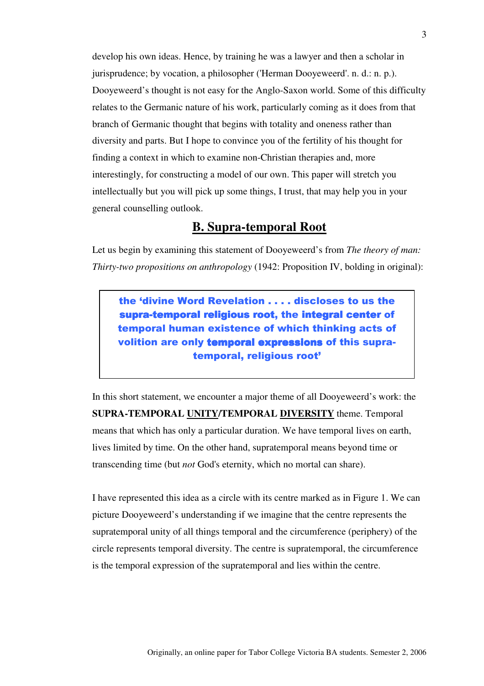develop his own ideas. Hence, by training he was a lawyer and then a scholar in jurisprudence; by vocation, a philosopher ('Herman Dooyeweerd'. n. d.: n. p.). Dooyeweerd's thought is not easy for the Anglo-Saxon world. Some of this difficulty relates to the Germanic nature of his work, particularly coming as it does from that branch of Germanic thought that begins with totality and oneness rather than diversity and parts. But I hope to convince you of the fertility of his thought for finding a context in which to examine non-Christian therapies and, more interestingly, for constructing a model of our own. This paper will stretch you intellectually but you will pick up some things, I trust, that may help you in your general counselling outlook.

## **B. Supra-temporal Root**

Let us begin by examining this statement of Dooyeweerd's from *The theory of man: Thirty-two propositions on anthropology* (1942: Proposition IV, bolding in original):

the 'divine Word Revelation . . . . discloses to us the supra-temporal religious root, the integral center of temporal human existence of which thinking acts of volition are only temporal expressions of this supratemporal, religious root'

In this short statement, we encounter a major theme of all Dooyeweerd's work: the **SUPRA-TEMPORAL UNITY/TEMPORAL DIVERSITY** theme. Temporal means that which has only a particular duration. We have temporal lives on earth, lives limited by time. On the other hand, supratemporal means beyond time or transcending time (but *not* God's eternity, which no mortal can share).

I have represented this idea as a circle with its centre marked as in Figure 1. We can picture Dooyeweerd's understanding if we imagine that the centre represents the supratemporal unity of all things temporal and the circumference (periphery) of the circle represents temporal diversity. The centre is supratemporal, the circumference is the temporal expression of the supratemporal and lies within the centre.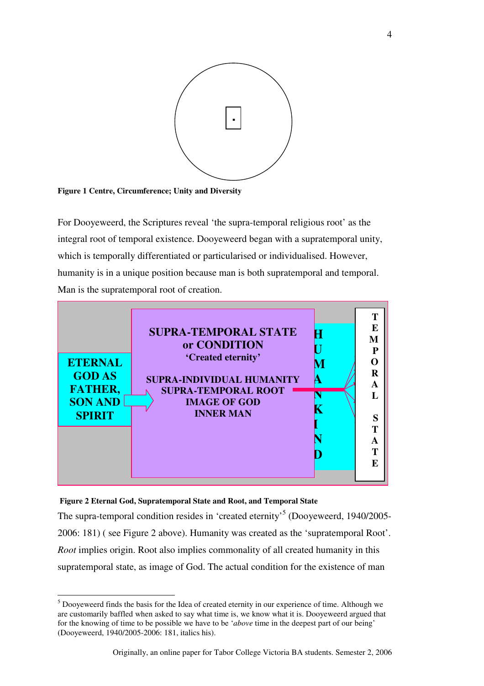

**Figure 1 Centre, Circumference; Unity and Diversity**

For Dooyeweerd, the Scriptures reveal 'the supra-temporal religious root' as the integral root of temporal existence. Dooyeweerd began with a supratemporal unity, which is temporally differentiated or particularised or individualised. However, humanity is in a unique position because man is both supratemporal and temporal. Man is the supratemporal root of creation.



#### **Figure 2 Eternal God, Supratemporal State and Root, and Temporal State**

 $\overline{a}$ 

The supra-temporal condition resides in 'created eternity'<sup>5</sup> (Dooyeweerd, 1940/2005-2006: 181) ( see Figure 2 above). Humanity was created as the 'supratemporal Root'. *Root* implies origin. Root also implies commonality of all created humanity in this supratemporal state, as image of God. The actual condition for the existence of man

 $<sup>5</sup>$  Dooyeweerd finds the basis for the Idea of created eternity in our experience of time. Although we</sup> are customarily baffled when asked to say what time is, we know what it is. Dooyeweerd argued that for the knowing of time to be possible we have to be '*above* time in the deepest part of our being' (Dooyeweerd, 1940/2005-2006: 181, italics his).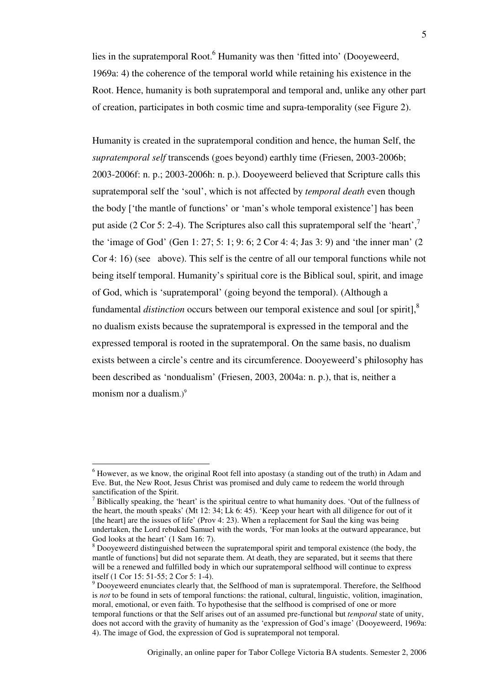lies in the supratemporal Root.<sup>6</sup> Humanity was then 'fitted into' (Dooyeweerd, 1969a: 4) the coherence of the temporal world while retaining his existence in the Root. Hence, humanity is both supratemporal and temporal and, unlike any other part of creation, participates in both cosmic time and supra-temporality (see Figure 2).

Humanity is created in the supratemporal condition and hence, the human Self, the *supratemporal self* transcends (goes beyond) earthly time (Friesen, 2003-2006b; 2003-2006f: n. p.; 2003-2006h: n. p.). Dooyeweerd believed that Scripture calls this supratemporal self the 'soul', which is not affected by *temporal death* even though the body ['the mantle of functions' or 'man's whole temporal existence'] has been put aside (2 Cor 5: 2-4). The Scriptures also call this supratemporal self the 'heart',<sup>7</sup> the 'image of God' (Gen 1: 27; 5: 1; 9: 6; 2 Cor 4: 4; Jas 3: 9) and 'the inner man' (2 Cor 4: 16) (see above). This self is the centre of all our temporal functions while not being itself temporal. Humanity's spiritual core is the Biblical soul, spirit, and image of God, which is 'supratemporal' (going beyond the temporal). (Although a fundamental *distinction* occurs between our temporal existence and soul [or spirit],<sup>8</sup> no dualism exists because the supratemporal is expressed in the temporal and the expressed temporal is rooted in the supratemporal. On the same basis, no dualism exists between a circle's centre and its circumference. Dooyeweerd's philosophy has been described as 'nondualism' (Friesen, 2003, 2004a: n. p.), that is, neither a monism nor a dualism. $)^9$ 

<sup>&</sup>lt;sup>6</sup> However, as we know, the original Root fell into apostasy (a standing out of the truth) in Adam and Eve. But, the New Root, Jesus Christ was promised and duly came to redeem the world through sanctification of the Spirit.

 $<sup>7</sup>$  Biblically speaking, the 'heart' is the spiritual centre to what humanity does. 'Out of the fullness of</sup> the heart, the mouth speaks' (Mt 12: 34; Lk 6: 45). 'Keep your heart with all diligence for out of it [the heart] are the issues of life' (Prov 4: 23). When a replacement for Saul the king was being undertaken, the Lord rebuked Samuel with the words, 'For man looks at the outward appearance, but God looks at the heart' (1 Sam 16: 7).

 $8$  Dooyeweerd distinguished between the supratemporal spirit and temporal existence (the body, the mantle of functions] but did not separate them. At death, they are separated, but it seems that there will be a renewed and fulfilled body in which our supratemporal selfhood will continue to express itself (1 Cor 15: 51-55; 2 Cor 5: 1-4).

 $9$  Dooyeweerd enunciates clearly that, the Selfhood of man is supratemporal. Therefore, the Selfhood is *not* to be found in sets of temporal functions: the rational, cultural, linguistic, volition, imagination, moral, emotional, or even faith. To hypothesise that the selfhood is comprised of one or more temporal functions or that the Self arises out of an assumed pre-functional but *temporal* state of unity, does not accord with the gravity of humanity as the 'expression of God's image' (Dooyeweerd, 1969a: 4). The image of God, the expression of God is supratemporal not temporal.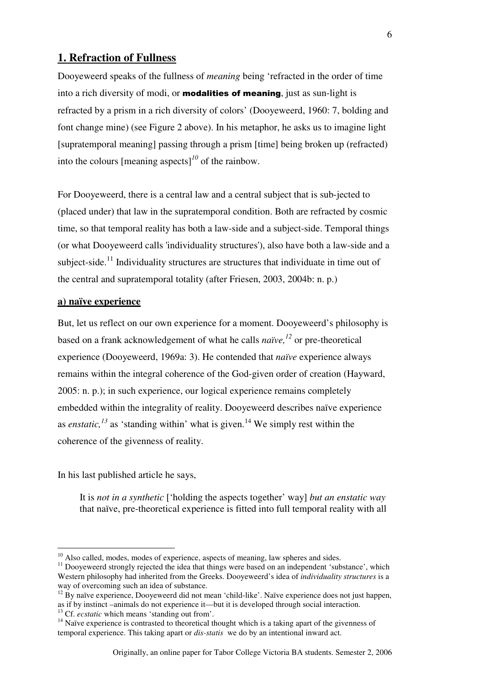### **1. Refraction of Fullness**

Dooyeweerd speaks of the fullness of *meaning* being 'refracted in the order of time into a rich diversity of modi, or **modalities of meaning**, just as sun-light is refracted by a prism in a rich diversity of colors' (Dooyeweerd, 1960: 7, bolding and font change mine) (see Figure 2 above). In his metaphor, he asks us to imagine light [supratemporal meaning] passing through a prism [time] being broken up (refracted) into the colours [meaning aspects]*<sup>10</sup>* of the rainbow.

For Dooyeweerd, there is a central law and a central subject that is sub-jected to (placed under) that law in the supratemporal condition. Both are refracted by cosmic time, so that temporal reality has both a law-side and a subject-side. Temporal things (or what Dooyeweerd calls 'individuality structures'), also have both a law-side and a subject-side.<sup>11</sup> Individuality structures are structures that individuate in time out of the central and supratemporal totality (after Friesen, 2003, 2004b: n. p.)

#### **a) naïve experience**

But, let us reflect on our own experience for a moment. Dooyeweerd's philosophy is based on a frank acknowledgement of what he calls *naïve,<sup>12</sup>* or pre-theoretical experience (Dooyeweerd, 1969a: 3). He contended that *naïve* experience always remains within the integral coherence of the God-given order of creation (Hayward, 2005: n. p.); in such experience, our logical experience remains completely embedded within the integrality of reality. Dooyeweerd describes naïve experience as *enstatic*,<sup> $13$ </sup> as 'standing within' what is given.<sup>14</sup> We simply rest within the coherence of the givenness of reality.

In his last published article he says,

 $\overline{a}$ 

It is *not in a synthetic* ['holding the aspects together' way] *but an enstatic way* that naïve, pre-theoretical experience is fitted into full temporal reality with all

 $10$  Also called, modes, modes of experience, aspects of meaning, law spheres and sides.

<sup>&</sup>lt;sup>11</sup> Dooyeweerd strongly rejected the idea that things were based on an independent 'substance', which Western philosophy had inherited from the Greeks. Dooyeweerd's idea of *individuality structures* is a way of overcoming such an idea of substance.

<sup>&</sup>lt;sup>12</sup> By naïve experience, Dooyeweerd did not mean 'child-like'. Naïve experience does not just happen, as if by instinct –animals do not experience it—but it is developed through social interaction.

<sup>&</sup>lt;sup>13</sup> Cf. *ecstatic* which means 'standing out from'.

 $<sup>14</sup>$  Naïve experience is contrasted to theoretical thought which is a taking apart of the givenness of</sup> temporal experience. This taking apart or *dis-statis* we do by an intentional inward act.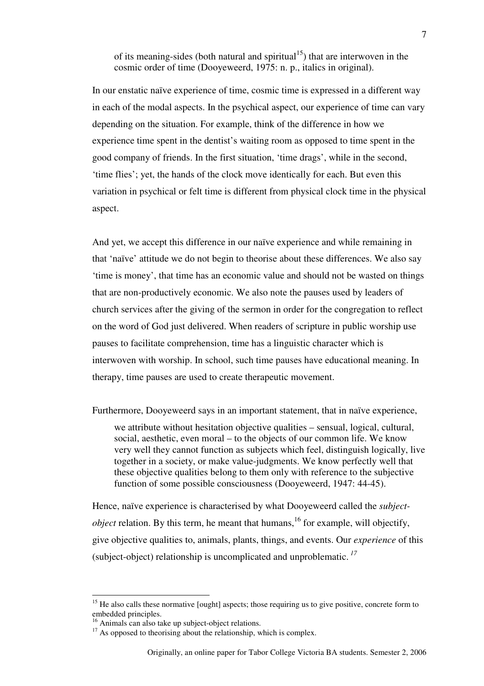of its meaning-sides (both natural and spiritual<sup>15</sup>) that are interwoven in the cosmic order of time (Dooyeweerd, 1975: n. p., italics in original).

In our enstatic naïve experience of time, cosmic time is expressed in a different way in each of the modal aspects. In the psychical aspect, our experience of time can vary depending on the situation. For example, think of the difference in how we experience time spent in the dentist's waiting room as opposed to time spent in the good company of friends. In the first situation, 'time drags', while in the second, 'time flies'; yet, the hands of the clock move identically for each. But even this variation in psychical or felt time is different from physical clock time in the physical aspect.

And yet, we accept this difference in our naïve experience and while remaining in that 'naïve' attitude we do not begin to theorise about these differences. We also say 'time is money', that time has an economic value and should not be wasted on things that are non-productively economic. We also note the pauses used by leaders of church services after the giving of the sermon in order for the congregation to reflect on the word of God just delivered. When readers of scripture in public worship use pauses to facilitate comprehension, time has a linguistic character which is interwoven with worship. In school, such time pauses have educational meaning. In therapy, time pauses are used to create therapeutic movement.

Furthermore, Dooyeweerd says in an important statement, that in naïve experience,

we attribute without hesitation objective qualities – sensual, logical, cultural, social, aesthetic, even moral – to the objects of our common life. We know very well they cannot function as subjects which feel, distinguish logically, live together in a society, or make value-judgments. We know perfectly well that these objective qualities belong to them only with reference to the subjective function of some possible consciousness (Dooyeweerd, 1947: 44-45).

Hence, naïve experience is characterised by what Dooyeweerd called the *subjectobject* relation. By this term, he meant that humans,  $^{16}$  for example, will objectify, give objective qualities to, animals, plants, things, and events. Our *experience* of this (subject-object) relationship is uncomplicated and unproblematic.*<sup>17</sup>*

<sup>&</sup>lt;sup>15</sup> He also calls these normative [ought] aspects; those requiring us to give positive, concrete form to embedded principles.

<sup>&</sup>lt;sup>16</sup> Animals can also take up subject-object relations.

 $17$  As opposed to theorising about the relationship, which is complex.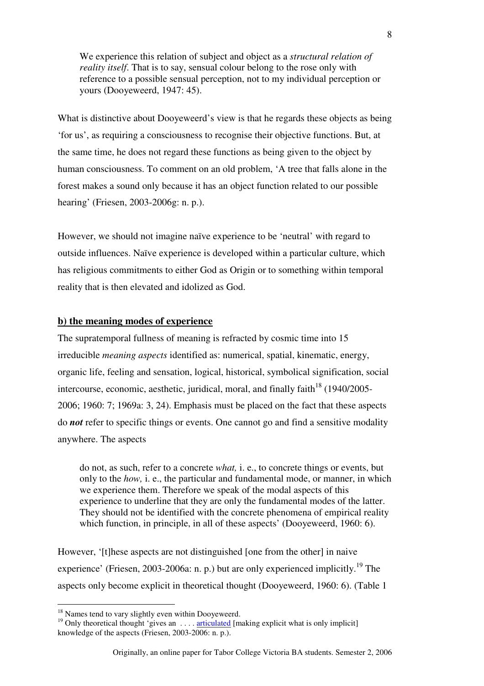We experience this relation of subject and object as a *structural relation of reality itself*. That is to say, sensual colour belong to the rose only with reference to a possible sensual perception, not to my individual perception or yours (Dooyeweerd, 1947: 45).

What is distinctive about Dooyeweerd's view is that he regards these objects as being 'for us', as requiring a consciousness to recognise their objective functions. But, at the same time, he does not regard these functions as being given to the object by human consciousness. To comment on an old problem, 'A tree that falls alone in the forest makes a sound only because it has an object function related to our possible hearing' (Friesen, 2003-2006g: n. p.).

However, we should not imagine naïve experience to be 'neutral' with regard to outside influences. Naïve experience is developed within a particular culture, which has religious commitments to either God as Origin or to something within temporal reality that is then elevated and idolized as God.

#### **b) the meaning modes of experience**

The supratemporal fullness of meaning is refracted by cosmic time into 15 irreducible *meaning aspects* identified as: numerical, spatial, kinematic, energy, organic life, feeling and sensation, logical, historical, symbolical signification, social intercourse, economic, aesthetic, juridical, moral, and finally faith<sup>18</sup> (1940/2005-2006; 1960: 7; 1969a: 3, 24). Emphasis must be placed on the fact that these aspects do *not* refer to specific things or events. One cannot go and find a sensitive modality anywhere. The aspects

do not, as such, refer to a concrete *what,* i. e., to concrete things or events, but only to the *how,* i. e., the particular and fundamental mode, or manner, in which we experience them. Therefore we speak of the modal aspects of this experience to underline that they are only the fundamental modes of the latter. They should not be identified with the concrete phenomena of empirical reality which function, in principle, in all of these aspects' (Dooyeweerd, 1960: 6).

However, '[t]hese aspects are not distinguished [one from the other] in naive experience' (Friesen, 2003-2006a: n. p.) but are only experienced implicitly.<sup>19</sup> The aspects only become explicit in theoretical thought (Dooyeweerd, 1960: 6). (Table 1

<sup>&</sup>lt;sup>18</sup> Names tend to vary slightly even within Dooyeweerd.

<sup>&</sup>lt;sup>19</sup> Only theoretical thought 'gives an  $\dots$  articulated [making explicit what is only implicit] knowledge of the aspects (Friesen, 2003-2006: n. p.).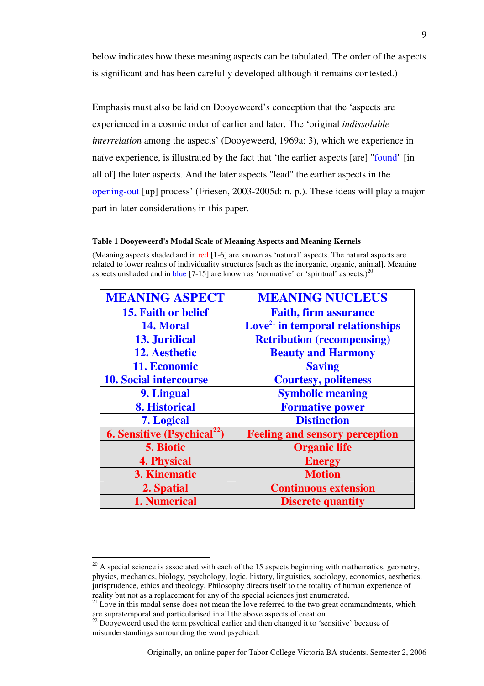below indicates how these meaning aspects can be tabulated. The order of the aspects is significant and has been carefully developed although it remains contested.)

Emphasis must also be laid on Dooyeweerd's conception that the 'aspects are experienced in a cosmic order of earlier and later. The 'original *indissoluble interrelation* among the aspects' (Dooyeweerd, 1969a: 3), which we experience in naïve experience, is illustrated by the fact that 'the earlier aspects [are] "found" [in all of] the later aspects. And the later aspects "lead" the earlier aspects in the opening-out [up] process' (Friesen, 2003-2005d: n. p.). These ideas will play a major part in later considerations in this paper.

#### **Table 1 Dooyeweerd's Modal Scale of Meaning Aspects and Meaning Kernels**

(Meaning aspects shaded and in red [1-6] are known as 'natural' aspects. The natural aspects are related to lower realms of individuality structures [such as the inorganic, organic, animal]. Meaning aspects unshaded and in blue  $[7-15]$  are known as 'normative' or 'spiritual' aspects.)<sup>20</sup>

| <b>MEANING ASPECT</b>                   | <b>MEANING NUCLEUS</b>                                |
|-----------------------------------------|-------------------------------------------------------|
| 15. Faith or belief                     | <b>Faith, firm assurance</b>                          |
| 14. Moral                               | $\mathbf{Love}^{\text{21}}$ in temporal relationships |
| 13. Juridical                           | <b>Retribution (recompensing)</b>                     |
| 12. Aesthetic                           | <b>Beauty and Harmony</b>                             |
| 11. Economic                            | <b>Saving</b>                                         |
| <b>10. Social intercourse</b>           | <b>Courtesy, politeness</b>                           |
| 9. Lingual                              | <b>Symbolic meaning</b>                               |
| 8. Historical                           | <b>Formative power</b>                                |
| 7. Logical                              | <b>Distinction</b>                                    |
| 6. Sensitive (Psychical <sup>22</sup> ) | <b>Feeling and sensory perception</b>                 |
| 5. Biotic                               | <b>Organic life</b>                                   |
| <b>4. Physical</b>                      | <b>Energy</b>                                         |
| 3. Kinematic                            | <b>Motion</b>                                         |
| 2. Spatial                              | <b>Continuous extension</b>                           |
| 1. Numerical                            | <b>Discrete quantity</b>                              |

 $20$  A special science is associated with each of the 15 aspects beginning with mathematics, geometry, physics, mechanics, biology, psychology, logic, history, linguistics, sociology, economics, aesthetics, jurisprudence, ethics and theology. Philosophy directs itself to the totality of human experience of reality but not as a replacement for any of the special sciences just enumerated.

 $21$  Love in this modal sense does not mean the love referred to the two great commandments, which are supratemporal and particularised in all the above aspects of creation.

<sup>&</sup>lt;sup>22</sup> Dooyeweerd used the term psychical earlier and then changed it to 'sensitive' because of misunderstandings surrounding the word psychical.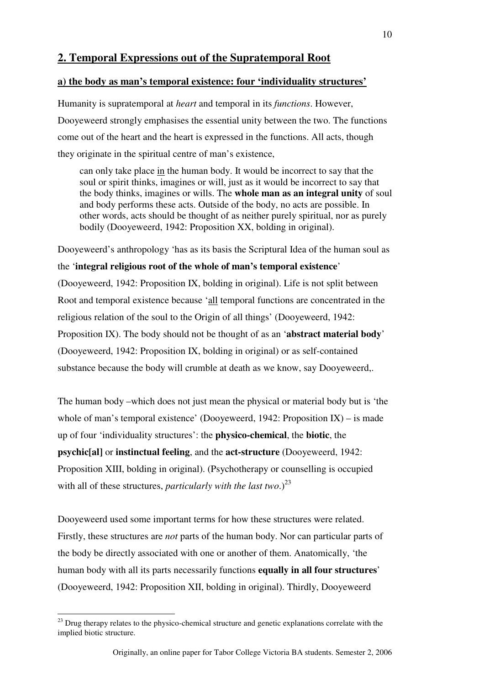## **2. Temporal Expressions out of the Supratemporal Root**

#### **a) the body as man's temporal existence: four 'individuality structures'**

Humanity is supratemporal at *heart* and temporal in its *functions*. However, Dooyeweerd strongly emphasises the essential unity between the two. The functions come out of the heart and the heart is expressed in the functions. All acts, though they originate in the spiritual centre of man's existence,

can only take place in the human body. It would be incorrect to say that the soul or spirit thinks, imagines or will, just as it would be incorrect to say that the body thinks, imagines or wills. The **whole man as an integral unity** of soul and body performs these acts. Outside of the body, no acts are possible. In other words, acts should be thought of as neither purely spiritual, nor as purely bodily (Dooyeweerd, 1942: Proposition XX, bolding in original).

Dooyeweerd's anthropology 'has as its basis the Scriptural Idea of the human soul as the '**integral religious root of the whole of man's temporal existence**' (Dooyeweerd, 1942: Proposition IX, bolding in original). Life is not split between Root and temporal existence because 'all temporal functions are concentrated in the religious relation of the soul to the Origin of all things' (Dooyeweerd, 1942: Proposition IX). The body should not be thought of as an '**abstract material body**' (Dooyeweerd, 1942: Proposition IX, bolding in original) or as self-contained substance because the body will crumble at death as we know, say Dooyeweerd,.

The human body –which does not just mean the physical or material body but is 'the whole of man's temporal existence' (Dooyeweerd, 1942: Proposition  $IX$ ) – is made up of four 'individuality structures': the **physico-chemical**, the **biotic**, the **psychic[al]** or **instinctual feeling**, and the **act-structure** (Dooyeweerd, 1942: Proposition XIII, bolding in original). (Psychotherapy or counselling is occupied with all of these structures, *particularly with the last two*.)<sup>23</sup>

Dooyeweerd used some important terms for how these structures were related. Firstly, these structures are *not* parts of the human body. Nor can particular parts of the body be directly associated with one or another of them. Anatomically, 'the human body with all its parts necessarily functions **equally in all four structures**' (Dooyeweerd, 1942: Proposition XII, bolding in original). Thirdly, Dooyeweerd

<sup>&</sup>lt;sup>23</sup> Drug therapy relates to the physico-chemical structure and genetic explanations correlate with the implied biotic structure.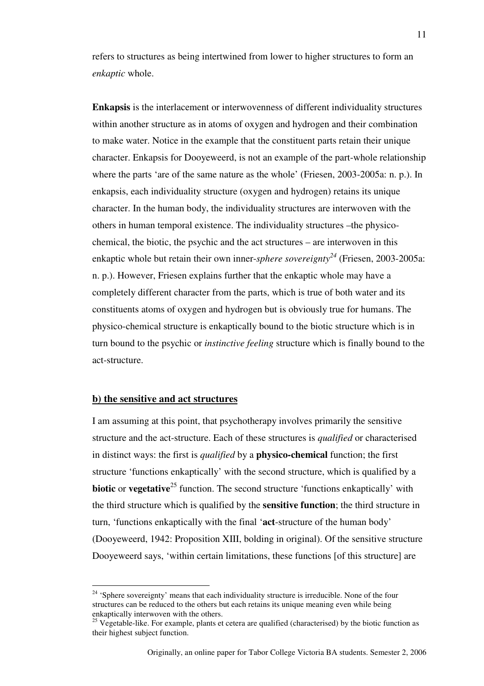refers to structures as being intertwined from lower to higher structures to form an *enkaptic* whole.

**Enkapsis** is the interlacement or interwovenness of different individuality structures within another structure as in atoms of oxygen and hydrogen and their combination to make water. Notice in the example that the constituent parts retain their unique character. Enkapsis for Dooyeweerd, is not an example of the part-whole relationship where the parts 'are of the same nature as the whole' (Friesen, 2003-2005a: n. p.). In enkapsis, each individuality structure (oxygen and hydrogen) retains its unique character. In the human body, the individuality structures are interwoven with the others in human temporal existence. The individuality structures –the physicochemical, the biotic, the psychic and the act structures – are interwoven in this enkaptic whole but retain their own inner-*sphere sovereignty<sup>24</sup>* (Friesen, 2003-2005a: n. p.). However, Friesen explains further that the enkaptic whole may have a completely different character from the parts, which is true of both water and its constituents atoms of oxygen and hydrogen but is obviously true for humans. The physico-chemical structure is enkaptically bound to the biotic structure which is in turn bound to the psychic or *instinctive feeling* structure which is finally bound to the act-structure.

### **b) the sensitive and act structures**

 $\overline{a}$ 

I am assuming at this point, that psychotherapy involves primarily the sensitive structure and the act-structure. Each of these structures is *qualified* or characterised in distinct ways: the first is *qualified* by a **physico-chemical** function; the first structure 'functions enkaptically' with the second structure, which is qualified by a **biotic** or **vegetative**<sup>25</sup> function. The second structure 'functions enkaptically' with the third structure which is qualified by the **sensitive function**; the third structure in turn, 'functions enkaptically with the final '**act**-structure of the human body' (Dooyeweerd, 1942: Proposition XIII, bolding in original). Of the sensitive structure Dooyeweerd says, 'within certain limitations, these functions [of this structure] are

<sup>&</sup>lt;sup>24</sup> 'Sphere sovereignty' means that each individuality structure is irreducible. None of the four structures can be reduced to the others but each retains its unique meaning even while being enkaptically interwoven with the others.

 $25$  Vegetable-like. For example, plants et cetera are qualified (characterised) by the biotic function as their highest subject function.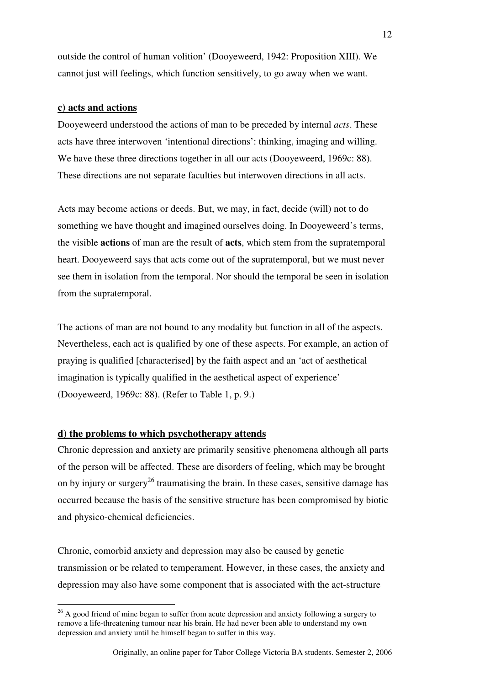outside the control of human volition' (Dooyeweerd, 1942: Proposition XIII). We cannot just will feelings, which function sensitively, to go away when we want.

#### **c) acts and actions**

Dooyeweerd understood the actions of man to be preceded by internal *acts*. These acts have three interwoven 'intentional directions': thinking, imaging and willing. We have these three directions together in all our acts (Dooyeweerd, 1969c: 88). These directions are not separate faculties but interwoven directions in all acts.

Acts may become actions or deeds. But, we may, in fact, decide (will) not to do something we have thought and imagined ourselves doing. In Dooyeweerd's terms, the visible **actions** of man are the result of **acts**, which stem from the supratemporal heart. Dooyeweerd says that acts come out of the supratemporal, but we must never see them in isolation from the temporal. Nor should the temporal be seen in isolation from the supratemporal.

The actions of man are not bound to any modality but function in all of the aspects. Nevertheless, each act is qualified by one of these aspects. For example, an action of praying is qualified [characterised] by the faith aspect and an 'act of aesthetical imagination is typically qualified in the aesthetical aspect of experience' (Dooyeweerd, 1969c: 88). (Refer to Table 1, p. 9.)

### **d) the problems to which psychotherapy attends**

 $\overline{a}$ 

Chronic depression and anxiety are primarily sensitive phenomena although all parts of the person will be affected. These are disorders of feeling, which may be brought on by injury or surgery<sup>26</sup> traumatising the brain. In these cases, sensitive damage has occurred because the basis of the sensitive structure has been compromised by biotic and physico-chemical deficiencies.

Chronic, comorbid anxiety and depression may also be caused by genetic transmission or be related to temperament. However, in these cases, the anxiety and depression may also have some component that is associated with the act-structure

 $26$  A good friend of mine began to suffer from acute depression and anxiety following a surgery to remove a life-threatening tumour near his brain. He had never been able to understand my own depression and anxiety until he himself began to suffer in this way.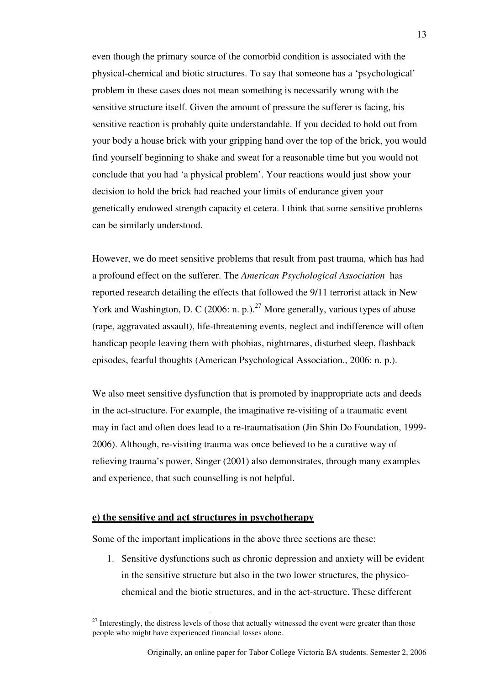even though the primary source of the comorbid condition is associated with the physical-chemical and biotic structures. To say that someone has a 'psychological' problem in these cases does not mean something is necessarily wrong with the sensitive structure itself. Given the amount of pressure the sufferer is facing, his sensitive reaction is probably quite understandable. If you decided to hold out from your body a house brick with your gripping hand over the top of the brick, you would find yourself beginning to shake and sweat for a reasonable time but you would not conclude that you had 'a physical problem'. Your reactions would just show your decision to hold the brick had reached your limits of endurance given your genetically endowed strength capacity et cetera. I think that some sensitive problems can be similarly understood.

However, we do meet sensitive problems that result from past trauma, which has had a profound effect on the sufferer. The *American Psychological Association* has reported research detailing the effects that followed the 9/11 terrorist attack in New York and Washington, D. C (2006: n. p.).<sup>27</sup> More generally, various types of abuse (rape, aggravated assault), life-threatening events, neglect and indifference will often handicap people leaving them with phobias, nightmares, disturbed sleep, flashback episodes, fearful thoughts (American Psychological Association., 2006: n. p.).

We also meet sensitive dysfunction that is promoted by inappropriate acts and deeds in the act-structure. For example, the imaginative re-visiting of a traumatic event may in fact and often does lead to a re-traumatisation (Jin Shin Do Foundation, 1999- 2006). Although, re-visiting trauma was once believed to be a curative way of relieving trauma's power, Singer (2001) also demonstrates, through many examples and experience, that such counselling is not helpful.

#### **e) the sensitive and act structures in psychotherapy**

 $\overline{a}$ 

Some of the important implications in the above three sections are these:

1. Sensitive dysfunctions such as chronic depression and anxiety will be evident in the sensitive structure but also in the two lower structures, the physicochemical and the biotic structures, and in the act-structure. These different

 $27$  Interestingly, the distress levels of those that actually witnessed the event were greater than those people who might have experienced financial losses alone.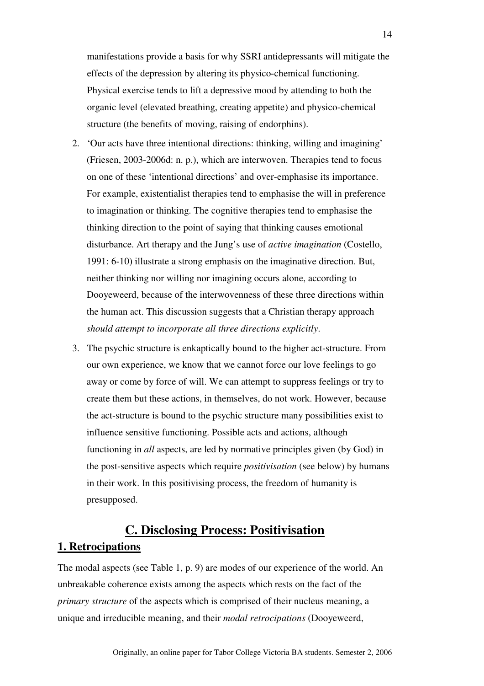manifestations provide a basis for why SSRI antidepressants will mitigate the effects of the depression by altering its physico-chemical functioning. Physical exercise tends to lift a depressive mood by attending to both the organic level (elevated breathing, creating appetite) and physico-chemical structure (the benefits of moving, raising of endorphins).

- 2. 'Our acts have three intentional directions: thinking, willing and imagining' (Friesen, 2003-2006d: n. p.), which are interwoven. Therapies tend to focus on one of these 'intentional directions' and over-emphasise its importance. For example, existentialist therapies tend to emphasise the will in preference to imagination or thinking. The cognitive therapies tend to emphasise the thinking direction to the point of saying that thinking causes emotional disturbance. Art therapy and the Jung's use of *active imagination* (Costello, 1991: 6-10) illustrate a strong emphasis on the imaginative direction. But, neither thinking nor willing nor imagining occurs alone, according to Dooyeweerd, because of the interwovenness of these three directions within the human act. This discussion suggests that a Christian therapy approach *should attempt to incorporate all three directions explicitly*.
- 3. The psychic structure is enkaptically bound to the higher act-structure. From our own experience, we know that we cannot force our love feelings to go away or come by force of will. We can attempt to suppress feelings or try to create them but these actions, in themselves, do not work. However, because the act-structure is bound to the psychic structure many possibilities exist to influence sensitive functioning. Possible acts and actions, although functioning in *all* aspects, are led by normative principles given (by God) in the post-sensitive aspects which require *positivisation* (see below) by humans in their work. In this positivising process, the freedom of humanity is presupposed.

# **C. Disclosing Process: Positivisation 1. Retrocipations**

The modal aspects (see Table 1, p. 9) are modes of our experience of the world. An unbreakable coherence exists among the aspects which rests on the fact of the *primary structure* of the aspects which is comprised of their nucleus meaning, a unique and irreducible meaning, and their *modal retrocipations* (Dooyeweerd,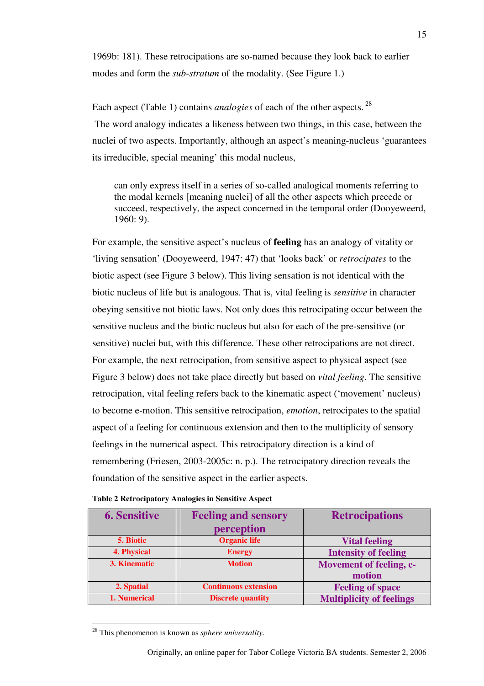1969b: 181). These retrocipations are so-named because they look back to earlier modes and form the *sub-stratum* of the modality. (See Figure 1.)

Each aspect (Table 1) contains *analogies* of each of the other aspects.<sup>28</sup> The word analogy indicates a likeness between two things, in this case, between the nuclei of two aspects. Importantly, although an aspect's meaning-nucleus 'guarantees its irreducible, special meaning' this modal nucleus,

can only express itself in a series of so-called analogical moments referring to the modal kernels [meaning nuclei] of all the other aspects which precede or succeed, respectively, the aspect concerned in the temporal order (Dooyeweerd, 1960: 9).

For example, the sensitive aspect's nucleus of **feeling** has an analogy of vitality or 'living sensation' (Dooyeweerd, 1947: 47) that 'looks back' or *retrocipates* to the biotic aspect (see Figure 3 below). This living sensation is not identical with the biotic nucleus of life but is analogous. That is, vital feeling is *sensitive* in character obeying sensitive not biotic laws. Not only does this retrocipating occur between the sensitive nucleus and the biotic nucleus but also for each of the pre-sensitive (or sensitive) nuclei but, with this difference. These other retrocipations are not direct. For example, the next retrocipation, from sensitive aspect to physical aspect (see Figure 3 below) does not take place directly but based on *vital feeling*. The sensitive retrocipation, vital feeling refers back to the kinematic aspect ('movement' nucleus) to become e-motion. This sensitive retrocipation, *emotion*, retrocipates to the spatial aspect of a feeling for continuous extension and then to the multiplicity of sensory feelings in the numerical aspect. This retrocipatory direction is a kind of remembering (Friesen, 2003-2005c: n. p.). The retrocipatory direction reveals the foundation of the sensitive aspect in the earlier aspects.

| <b>6. Sensitive</b> | <b>Feeling and sensory</b>  | <b>Retrocipations</b>           |
|---------------------|-----------------------------|---------------------------------|
|                     | perception                  |                                 |
| 5. Biotic           | <b>Organic life</b>         | <b>Vital feeling</b>            |
| 4. Physical         | <b>Energy</b>               | <b>Intensity of feeling</b>     |
| 3. Kinematic        | <b>Motion</b>               | Movement of feeling, e-         |
|                     |                             | motion                          |
| 2. Spatial          | <b>Continuous extension</b> | <b>Feeling of space</b>         |
| 1. Numerical        | <b>Discrete quantity</b>    | <b>Multiplicity of feelings</b> |

| <b>Table 2 Retrocipatory Analogies in Sensitive Aspect</b> |  |  |
|------------------------------------------------------------|--|--|
|------------------------------------------------------------|--|--|

<sup>28</sup> This phenomenon is known as *sphere universality*.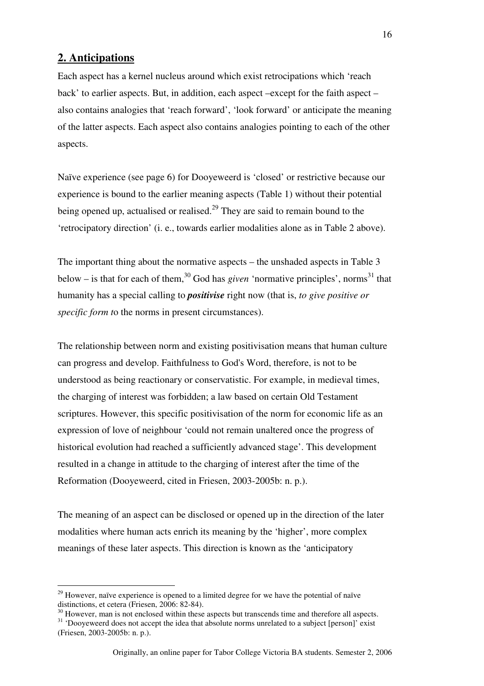### **2. Anticipations**

 $\overline{a}$ 

Each aspect has a kernel nucleus around which exist retrocipations which 'reach back' to earlier aspects. But, in addition, each aspect –except for the faith aspect – also contains analogies that 'reach forward', 'look forward' or anticipate the meaning of the latter aspects. Each aspect also contains analogies pointing to each of the other aspects.

Naïve experience (see page 6) for Dooyeweerd is 'closed' or restrictive because our experience is bound to the earlier meaning aspects (Table 1) without their potential being opened up, actualised or realised.<sup>29</sup> They are said to remain bound to the 'retrocipatory direction' (i. e., towards earlier modalities alone as in Table 2 above).

The important thing about the normative aspects – the unshaded aspects in Table 3 below – is that for each of them,<sup>30</sup> God has *given* 'normative principles', norms<sup>31</sup> that humanity has a special calling to *positivise* right now (that is, *to give positive or specific form t*o the norms in present circumstances).

The relationship between norm and existing positivisation means that human culture can progress and develop. Faithfulness to God's Word, therefore, is not to be understood as being reactionary or conservatistic. For example, in medieval times, the charging of interest was forbidden; a law based on certain Old Testament scriptures. However, this specific positivisation of the norm for economic life as an expression of love of neighbour 'could not remain unaltered once the progress of historical evolution had reached a sufficiently advanced stage'. This development resulted in a change in attitude to the charging of interest after the time of the Reformation (Dooyeweerd, cited in Friesen, 2003-2005b: n. p.).

The meaning of an aspect can be disclosed or opened up in the direction of the later modalities where human acts enrich its meaning by the 'higher', more complex meanings of these later aspects. This direction is known as the 'anticipatory

 $29$  However, naïve experience is opened to a limited degree for we have the potential of naïve distinctions, et cetera (Friesen, 2006: 82-84).

 $30$  However, man is not enclosed within these aspects but transcends time and therefore all aspects.

<sup>&</sup>lt;sup>31</sup> 'Dooyeweerd does not accept the idea that absolute norms unrelated to a subject [person]' exist (Friesen, 2003-2005b: n. p.).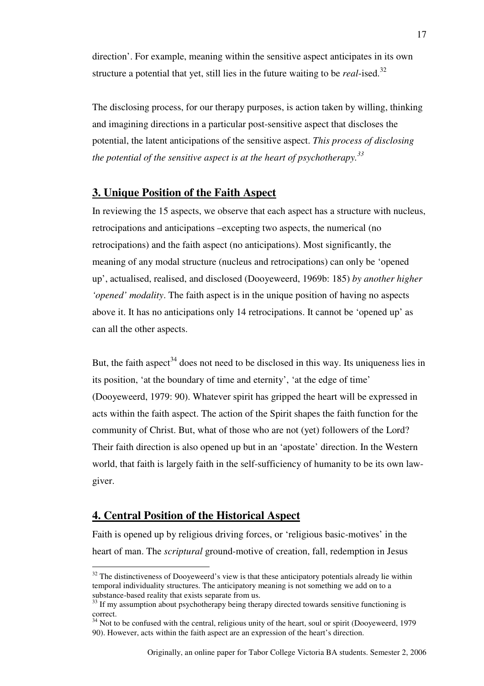direction'. For example, meaning within the sensitive aspect anticipates in its own structure a potential that yet, still lies in the future waiting to be *real*-ised.<sup>32</sup>

The disclosing process, for our therapy purposes, is action taken by willing, thinking and imagining directions in a particular post-sensitive aspect that discloses the potential, the latent anticipations of the sensitive aspect. *This process of disclosing the potential of the sensitive aspect is at the heart of psychotherapy.<sup>33</sup>*

## **3. Unique Position of the Faith Aspect**

In reviewing the 15 aspects, we observe that each aspect has a structure with nucleus, retrocipations and anticipations –excepting two aspects, the numerical (no retrocipations) and the faith aspect (no anticipations). Most significantly, the meaning of any modal structure (nucleus and retrocipations) can only be 'opened up', actualised, realised, and disclosed (Dooyeweerd, 1969b: 185) *by another higher 'opened' modality*. The faith aspect is in the unique position of having no aspects above it. It has no anticipations only 14 retrocipations. It cannot be 'opened up' as can all the other aspects.

But, the faith aspect<sup>34</sup> does not need to be disclosed in this way. Its uniqueness lies in its position, 'at the boundary of time and eternity', 'at the edge of time' (Dooyeweerd, 1979: 90). Whatever spirit has gripped the heart will be expressed in acts within the faith aspect. The action of the Spirit shapes the faith function for the community of Christ. But, what of those who are not (yet) followers of the Lord? Their faith direction is also opened up but in an 'apostate' direction. In the Western world, that faith is largely faith in the self-sufficiency of humanity to be its own lawgiver.

#### **4. Central Position of the Historical Aspect**

 $\overline{a}$ 

Faith is opened up by religious driving forces, or 'religious basic-motives' in the heart of man. The *scriptural* ground-motive of creation, fall, redemption in Jesus

 $32$  The distinctiveness of Dooyeweerd's view is that these anticipatory potentials already lie within temporal individuality structures. The anticipatory meaning is not something we add on to a substance-based reality that exists separate from us.

<sup>&</sup>lt;sup>33</sup> If my assumption about psychotherapy being therapy directed towards sensitive functioning is correct.

<sup>&</sup>lt;sup>34</sup> Not to be confused with the central, religious unity of the heart, soul or spirit (Dooyeweerd, 1979 90). However, acts within the faith aspect are an expression of the heart's direction.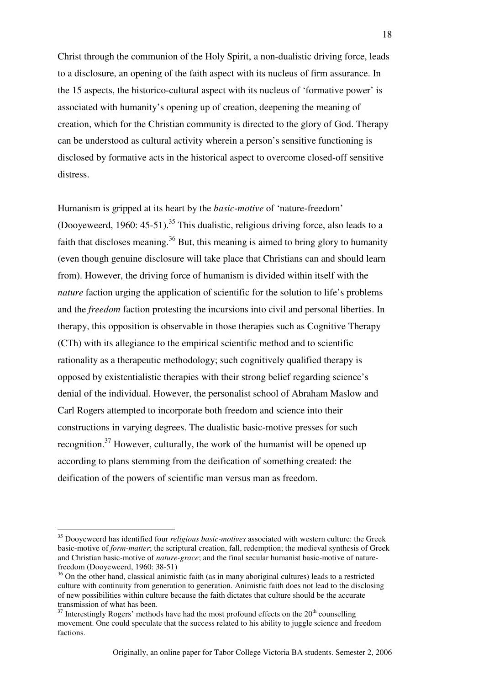Christ through the communion of the Holy Spirit, a non-dualistic driving force, leads to a disclosure, an opening of the faith aspect with its nucleus of firm assurance. In the 15 aspects, the historico-cultural aspect with its nucleus of 'formative power' is associated with humanity's opening up of creation, deepening the meaning of creation, which for the Christian community is directed to the glory of God. Therapy can be understood as cultural activity wherein a person's sensitive functioning is disclosed by formative acts in the historical aspect to overcome closed-off sensitive distress.

Humanism is gripped at its heart by the *basic-motive* of 'nature-freedom' (Dooyeweerd, 1960: 45-51).<sup>35</sup> This dualistic, religious driving force, also leads to a faith that discloses meaning.<sup>36</sup> But, this meaning is aimed to bring glory to humanity (even though genuine disclosure will take place that Christians can and should learn from). However, the driving force of humanism is divided within itself with the *nature* faction urging the application of scientific for the solution to life's problems and the *freedom* faction protesting the incursions into civil and personal liberties. In therapy, this opposition is observable in those therapies such as Cognitive Therapy (CTh) with its allegiance to the empirical scientific method and to scientific rationality as a therapeutic methodology; such cognitively qualified therapy is opposed by existentialistic therapies with their strong belief regarding science's denial of the individual. However, the personalist school of Abraham Maslow and Carl Rogers attempted to incorporate both freedom and science into their constructions in varying degrees. The dualistic basic-motive presses for such recognition.<sup>37</sup> However, culturally, the work of the humanist will be opened up according to plans stemming from the deification of something created: the deification of the powers of scientific man versus man as freedom.

<sup>35</sup> Dooyeweerd has identified four *religious basic-motives* associated with western culture: the Greek basic-motive of *form-matter*; the scriptural creation, fall, redemption; the medieval synthesis of Greek and Christian basic-motive of *nature-grace*; and the final secular humanist basic-motive of naturefreedom (Dooyeweerd, 1960: 38-51)

<sup>&</sup>lt;sup>36</sup> On the other hand, classical animistic faith (as in many aboriginal cultures) leads to a restricted culture with continuity from generation to generation. Animistic faith does not lead to the disclosing of new possibilities within culture because the faith dictates that culture should be the accurate transmission of what has been.

 $37$  Interestingly Rogers' methods have had the most profound effects on the  $20<sup>th</sup>$  counselling movement. One could speculate that the success related to his ability to juggle science and freedom factions.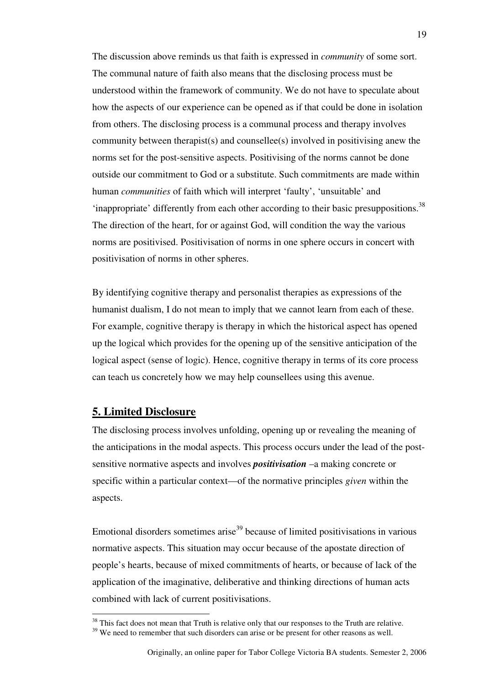The discussion above reminds us that faith is expressed in *community* of some sort. The communal nature of faith also means that the disclosing process must be understood within the framework of community. We do not have to speculate about how the aspects of our experience can be opened as if that could be done in isolation from others. The disclosing process is a communal process and therapy involves community between therapist(s) and counsellee(s) involved in positivising anew the norms set for the post-sensitive aspects. Positivising of the norms cannot be done outside our commitment to God or a substitute. Such commitments are made within human *communities* of faith which will interpret 'faulty', 'unsuitable' and 'inappropriate' differently from each other according to their basic presuppositions.<sup>38</sup> The direction of the heart, for or against God, will condition the way the various norms are positivised. Positivisation of norms in one sphere occurs in concert with positivisation of norms in other spheres.

By identifying cognitive therapy and personalist therapies as expressions of the humanist dualism, I do not mean to imply that we cannot learn from each of these. For example, cognitive therapy is therapy in which the historical aspect has opened up the logical which provides for the opening up of the sensitive anticipation of the logical aspect (sense of logic). Hence, cognitive therapy in terms of its core process can teach us concretely how we may help counsellees using this avenue.

#### **5. Limited Disclosure**

 $\overline{a}$ 

The disclosing process involves unfolding, opening up or revealing the meaning of the anticipations in the modal aspects. This process occurs under the lead of the postsensitive normative aspects and involves *positivisation* –a making concrete or specific within a particular context—of the normative principles *given* within the aspects.

Emotional disorders sometimes arise<sup>39</sup> because of limited positivisations in various normative aspects. This situation may occur because of the apostate direction of people's hearts, because of mixed commitments of hearts, or because of lack of the application of the imaginative, deliberative and thinking directions of human acts combined with lack of current positivisations.

<sup>&</sup>lt;sup>38</sup> This fact does not mean that Truth is relative only that our responses to the Truth are relative.

<sup>&</sup>lt;sup>39</sup> We need to remember that such disorders can arise or be present for other reasons as well.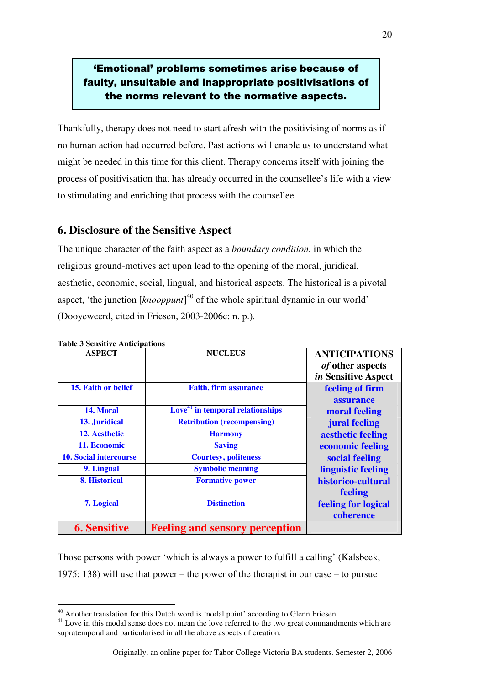## 'Emotional' problems sometimes arise because of faulty, unsuitable and inappropriate positivisations of the norms relevant to the normative aspects.

Thankfully, therapy does not need to start afresh with the positivising of norms as if no human action had occurred before. Past actions will enable us to understand what might be needed in this time for this client. Therapy concerns itself with joining the process of positivisation that has already occurred in the counsellee's life with a view to stimulating and enriching that process with the counsellee.

## **6. Disclosure of the Sensitive Aspect**

The unique character of the faith aspect as a *boundary condition*, in which the religious ground-motives act upon lead to the opening of the moral, juridical, aesthetic, economic, social, lingual, and historical aspects. The historical is a pivotal aspect, 'the junction [*knooppunt*] <sup>40</sup> of the whole spiritual dynamic in our world' (Dooyeweerd, cited in Friesen, 2003-2006c: n. p.).

| <b>ASPECT</b>                 | <b>NUCLEUS</b>                                          | <b>ANTICIPATIONS</b><br><i>of</i> other aspects<br>in Sensitive Aspect |
|-------------------------------|---------------------------------------------------------|------------------------------------------------------------------------|
| 15. Faith or belief           | <b>Faith, firm assurance</b>                            | feeling of firm<br>assurance                                           |
| 14. Moral                     | $\overline{\text{Love}}^{41}$ in temporal relationships | moral feeling                                                          |
| 13. Juridical                 | <b>Retribution (recompensing)</b>                       | jural feeling                                                          |
| 12. Aesthetic                 | <b>Harmony</b>                                          | aesthetic feeling                                                      |
| 11. Economic                  | <b>Saving</b>                                           | economic feeling                                                       |
| <b>10. Social intercourse</b> | <b>Courtesy, politeness</b>                             | social feeling                                                         |
| 9. Lingual                    | <b>Symbolic meaning</b>                                 | linguistic feeling                                                     |
| 8. Historical                 | <b>Formative power</b>                                  | historico-cultural<br>feeling                                          |
| 7. Logical                    | <b>Distinction</b>                                      | feeling for logical<br>coherence                                       |
| <b>6. Sensitive</b>           | <b>Feeling and sensory perception</b>                   |                                                                        |

**Table 3 Sensitive Anticipations** 

 $\overline{a}$ 

Those persons with power 'which is always a power to fulfill a calling' (Kalsbeek, 1975: 138) will use that power – the power of the therapist in our case – to pursue

20

<sup>&</sup>lt;sup>40</sup> Another translation for this Dutch word is 'nodal point' according to Glenn Friesen.

<sup>&</sup>lt;sup>41</sup> Love in this modal sense does not mean the love referred to the two great commandments which are supratemporal and particularised in all the above aspects of creation.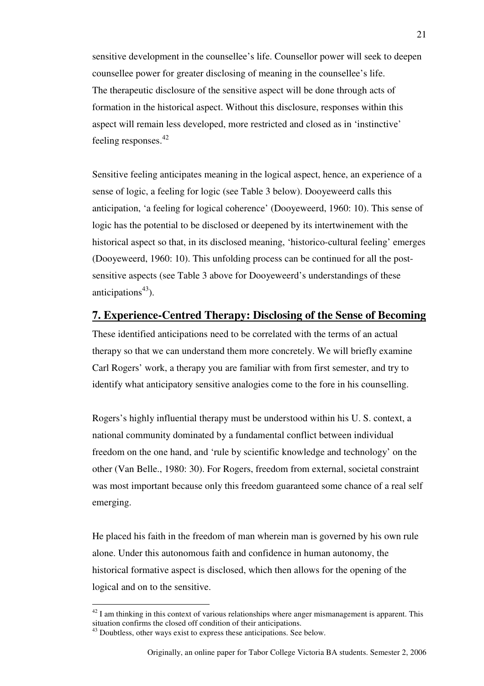sensitive development in the counsellee's life. Counsellor power will seek to deepen counsellee power for greater disclosing of meaning in the counsellee's life. The therapeutic disclosure of the sensitive aspect will be done through acts of formation in the historical aspect. Without this disclosure, responses within this aspect will remain less developed, more restricted and closed as in 'instinctive' feeling responses.<sup>42</sup>

Sensitive feeling anticipates meaning in the logical aspect, hence, an experience of a sense of logic, a feeling for logic (see Table 3 below). Dooyeweerd calls this anticipation, 'a feeling for logical coherence' (Dooyeweerd, 1960: 10). This sense of logic has the potential to be disclosed or deepened by its intertwinement with the historical aspect so that, in its disclosed meaning, 'historico-cultural feeling' emerges (Dooyeweerd, 1960: 10). This unfolding process can be continued for all the postsensitive aspects (see Table 3 above for Dooyeweerd's understandings of these anticipations $43$ ).

### **7. Experience-Centred Therapy: Disclosing of the Sense of Becoming**

These identified anticipations need to be correlated with the terms of an actual therapy so that we can understand them more concretely. We will briefly examine Carl Rogers' work, a therapy you are familiar with from first semester, and try to identify what anticipatory sensitive analogies come to the fore in his counselling.

Rogers's highly influential therapy must be understood within his U. S. context, a national community dominated by a fundamental conflict between individual freedom on the one hand, and 'rule by scientific knowledge and technology' on the other (Van Belle., 1980: 30). For Rogers, freedom from external, societal constraint was most important because only this freedom guaranteed some chance of a real self emerging.

He placed his faith in the freedom of man wherein man is governed by his own rule alone. Under this autonomous faith and confidence in human autonomy, the historical formative aspect is disclosed, which then allows for the opening of the logical and on to the sensitive.

 $42$  I am thinking in this context of various relationships where anger mismanagement is apparent. This situation confirms the closed off condition of their anticipations.

<sup>&</sup>lt;sup>43</sup> Doubtless, other ways exist to express these anticipations. See below.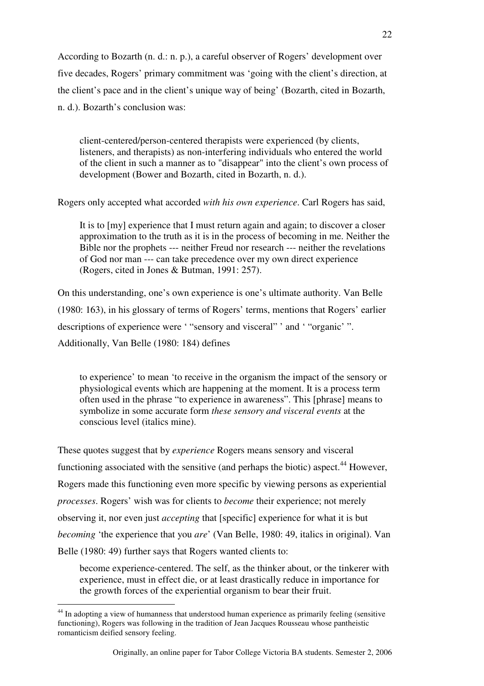According to Bozarth (n. d.: n. p.), a careful observer of Rogers' development over five decades, Rogers' primary commitment was 'going with the client's direction, at the client's pace and in the client's unique way of being' (Bozarth, cited in Bozarth, n. d.). Bozarth's conclusion was:

client-centered/person-centered therapists were experienced (by clients, listeners, and therapists) as non-interfering individuals who entered the world of the client in such a manner as to "disappear" into the client's own process of development (Bower and Bozarth, cited in Bozarth, n. d.).

Rogers only accepted what accorded *with his own experience*. Carl Rogers has said,

It is to [my] experience that I must return again and again; to discover a closer approximation to the truth as it is in the process of becoming in me. Neither the Bible nor the prophets --- neither Freud nor research --- neither the revelations of God nor man --- can take precedence over my own direct experience (Rogers, cited in Jones & Butman, 1991: 257).

On this understanding, one's own experience is one's ultimate authority. Van Belle (1980: 163), in his glossary of terms of Rogers' terms, mentions that Rogers' earlier descriptions of experience were ' "sensory and visceral" ' and ' "organic' ". Additionally, Van Belle (1980: 184) defines

to experience' to mean 'to receive in the organism the impact of the sensory or physiological events which are happening at the moment. It is a process term often used in the phrase "to experience in awareness". This [phrase] means to symbolize in some accurate form *these sensory and visceral events* at the conscious level (italics mine).

These quotes suggest that by *experience* Rogers means sensory and visceral functioning associated with the sensitive (and perhaps the biotic) aspect.<sup>44</sup> However, Rogers made this functioning even more specific by viewing persons as experiential *processes*. Rogers' wish was for clients to *become* their experience; not merely observing it, nor even just *accepting* that [specific] experience for what it is but *becoming* 'the experience that you *are*' (Van Belle, 1980: 49, italics in original). Van Belle (1980: 49) further says that Rogers wanted clients to:

become experience-centered. The self, as the thinker about, or the tinkerer with experience, must in effect die, or at least drastically reduce in importance for the growth forces of the experiential organism to bear their fruit.

<sup>&</sup>lt;sup>44</sup> In adopting a view of humanness that understood human experience as primarily feeling (sensitive functioning), Rogers was following in the tradition of Jean Jacques Rousseau whose pantheistic romanticism deified sensory feeling.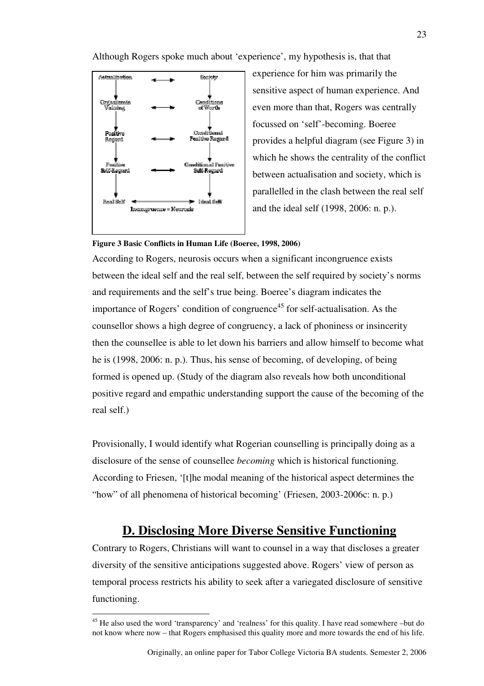Although Rogers spoke much about 'experience', my hypothesis is, that that



 $\overline{a}$ 

experience for him was primarily the sensitive aspect of human experience. And even more than that, Rogers was centrally focussed on 'self'-becoming. Boeree provides a helpful diagram (see Figure 3) in which he shows the centrality of the conflict between actualisation and society, which is parallelled in the clash between the real self and the ideal self (1998, 2006: n. p.).

#### **Figure 3 Basic Conflicts in Human Life (Boeree, 1998, 2006)**

According to Rogers, neurosis occurs when a significant incongruence exists between the ideal self and the real self, between the self required by society's norms and requirements and the self's true being. Boeree's diagram indicates the importance of Rogers' condition of congruence<sup>45</sup> for self-actualisation. As the counsellor shows a high degree of congruency, a lack of phoniness or insincerity then the counsellee is able to let down his barriers and allow himself to become what he is (1998, 2006: n. p.). Thus, his sense of becoming, of developing, of being formed is opened up. (Study of the diagram also reveals how both unconditional positive regard and empathic understanding support the cause of the becoming of the real self.)

Provisionally, I would identify what Rogerian counselling is principally doing as a disclosure of the sense of counsellee *becoming* which is historical functioning. According to Friesen, '[t]he modal meaning of the historical aspect determines the "how" of all phenomena of historical becoming' (Friesen, 2003-2006c: n. p.)

## **D. Disclosing More Diverse Sensitive Functioning**

Contrary to Rogers, Christians will want to counsel in a way that discloses a greater diversity of the sensitive anticipations suggested above. Rogers' view of person as temporal process restricts his ability to seek after a variegated disclosure of sensitive functioning.

<sup>&</sup>lt;sup>45</sup> He also used the word 'transparency' and 'realness' for this quality. I have read somewhere –but do not know where now – that Rogers emphasised this quality more and more towards the end of his life.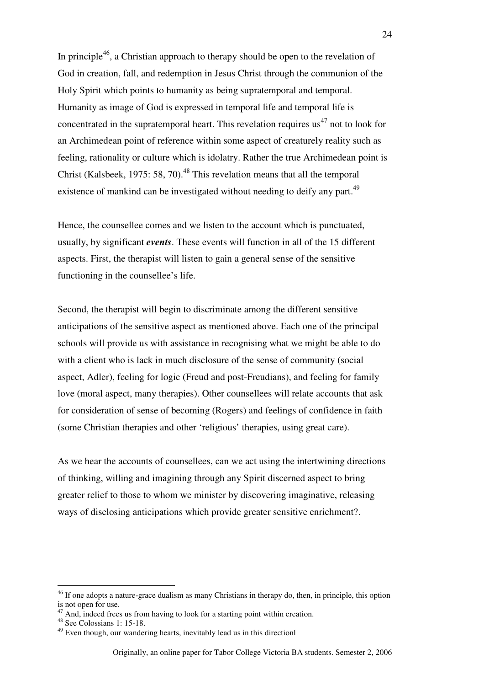In principle<sup>46</sup>, a Christian approach to therapy should be open to the revelation of God in creation, fall, and redemption in Jesus Christ through the communion of the Holy Spirit which points to humanity as being supratemporal and temporal. Humanity as image of God is expressed in temporal life and temporal life is concentrated in the supratemporal heart. This revelation requires us<sup>47</sup> not to look for an Archimedean point of reference within some aspect of creaturely reality such as feeling, rationality or culture which is idolatry. Rather the true Archimedean point is Christ (Kalsbeek, 1975: 58, 70).<sup>48</sup> This revelation means that all the temporal existence of mankind can be investigated without needing to deify any part.<sup>49</sup>

Hence, the counsellee comes and we listen to the account which is punctuated, usually, by significant *events*. These events will function in all of the 15 different aspects. First, the therapist will listen to gain a general sense of the sensitive functioning in the counsellee's life.

Second, the therapist will begin to discriminate among the different sensitive anticipations of the sensitive aspect as mentioned above. Each one of the principal schools will provide us with assistance in recognising what we might be able to do with a client who is lack in much disclosure of the sense of community (social aspect, Adler), feeling for logic (Freud and post-Freudians), and feeling for family love (moral aspect, many therapies). Other counsellees will relate accounts that ask for consideration of sense of becoming (Rogers) and feelings of confidence in faith (some Christian therapies and other 'religious' therapies, using great care).

As we hear the accounts of counsellees, can we act using the intertwining directions of thinking, willing and imagining through any Spirit discerned aspect to bring greater relief to those to whom we minister by discovering imaginative, releasing ways of disclosing anticipations which provide greater sensitive enrichment?.

<sup>&</sup>lt;sup>46</sup> If one adopts a nature-grace dualism as many Christians in therapy do, then, in principle, this option is not open for use.

And, indeed frees us from having to look for a starting point within creation.

<sup>48</sup> See Colossians 1: 15-18.

 $49$  Even though, our wandering hearts, inevitably lead us in this directionl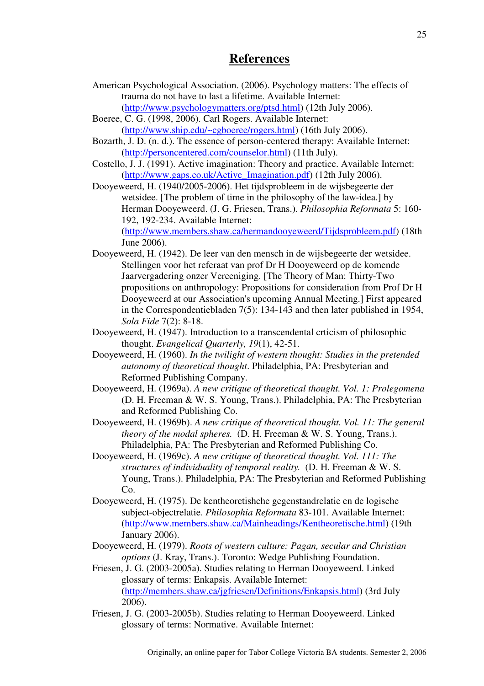## **References**

- American Psychological Association. (2006). Psychology matters: The effects of trauma do not have to last a lifetime. Available Internet:
	- (http://www.psychologymatters.org/ptsd.html) (12th July 2006).
- Boeree, C. G. (1998, 2006). Carl Rogers. Available Internet: (http://www.ship.edu/~cgboeree/rogers.html) (16th July 2006).
- Bozarth, J. D. (n. d.). The essence of person-centered therapy: Available Internet: (http://personcentered.com/counselor.html) (11th July).
- Costello, J. J. (1991). Active imagination: Theory and practice. Available Internet: (http://www.gaps.co.uk/Active\_Imagination.pdf) (12th July 2006).
- Dooyeweerd, H. (1940/2005-2006). Het tijdsprobleem in de wijsbegeerte der wetsidee. [The problem of time in the philosophy of the law-idea.] by Herman Dooyeweerd. (J. G. Friesen, Trans.). *Philosophia Reformata* 5: 160- 192, 192-234. Available Internet: (http://www.members.shaw.ca/hermandooyeweerd/Tijdsprobleem.pdf) (18th June 2006).
- Dooyeweerd, H. (1942). De leer van den mensch in de wijsbegeerte der wetsidee. Stellingen voor het referaat van prof Dr H Dooyeweerd op de komende Jaarvergadering onzer Vereeniging. [The Theory of Man: Thirty-Two propositions on anthropology: Propositions for consideration from Prof Dr H Dooyeweerd at our Association's upcoming Annual Meeting.] First appeared in the Correspondentiebladen 7(5): 134-143 and then later published in 1954, *Sola Fide* 7(2): 8-18.
- Dooyeweerd, H. (1947). Introduction to a transcendental crticism of philosophic thought. *Evangelical Quarterly, 19*(1), 42-51.
- Dooyeweerd, H. (1960). *In the twilight of western thought: Studies in the pretended autonomy of theoretical thought*. Philadelphia, PA: Presbyterian and Reformed Publishing Company.
- Dooyeweerd, H. (1969a). *A new critique of theoretical thought. Vol. 1: Prolegomena* (D. H. Freeman & W. S. Young, Trans.). Philadelphia, PA: The Presbyterian and Reformed Publishing Co.
- Dooyeweerd, H. (1969b). *A new critique of theoretical thought. Vol. 11: The general theory of the modal spheres.* (D. H. Freeman & W. S. Young, Trans.). Philadelphia, PA: The Presbyterian and Reformed Publishing Co.
- Dooyeweerd, H. (1969c). *A new critique of theoretical thought. Vol. 111: The structures of individuality of temporal reality.* (D. H. Freeman & W. S. Young, Trans.). Philadelphia, PA: The Presbyterian and Reformed Publishing Co.
- Dooyeweerd, H. (1975). De kentheoretishche gegenstandrelatie en de logische subject-objectrelatie. *Philosophia Reformata* 83-101. Available Internet: (http://www.members.shaw.ca/Mainheadings/Kentheoretische.html) (19th January 2006).
- Dooyeweerd, H. (1979). *Roots of western culture: Pagan, secular and Christian options* (J. Kray, Trans.). Toronto: Wedge Publishing Foundation.
- Friesen, J. G. (2003-2005a). Studies relating to Herman Dooyeweerd. Linked glossary of terms: Enkapsis. Available Internet: (http://members.shaw.ca/jgfriesen/Definitions/Enkapsis.html) (3rd July 2006).
- Friesen, J. G. (2003-2005b). Studies relating to Herman Dooyeweerd. Linked glossary of terms: Normative. Available Internet: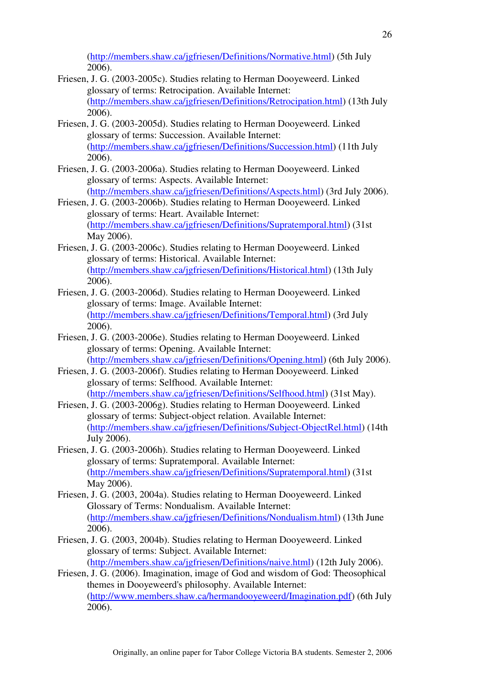(http://members.shaw.ca/jgfriesen/Definitions/Normative.html) (5th July 2006).

- Friesen, J. G. (2003-2005c). Studies relating to Herman Dooyeweerd. Linked glossary of terms: Retrocipation. Available Internet: (http://members.shaw.ca/jgfriesen/Definitions/Retrocipation.html) (13th July 2006).
- Friesen, J. G. (2003-2005d). Studies relating to Herman Dooyeweerd. Linked glossary of terms: Succession. Available Internet: (http://members.shaw.ca/jgfriesen/Definitions/Succession.html) (11th July 2006).
- Friesen, J. G. (2003-2006a). Studies relating to Herman Dooyeweerd. Linked glossary of terms: Aspects. Available Internet: (http://members.shaw.ca/jgfriesen/Definitions/Aspects.html) (3rd July 2006).
- Friesen, J. G. (2003-2006b). Studies relating to Herman Dooyeweerd. Linked glossary of terms: Heart. Available Internet: (http://members.shaw.ca/jgfriesen/Definitions/Supratemporal.html) (31st May 2006).
- Friesen, J. G. (2003-2006c). Studies relating to Herman Dooyeweerd. Linked glossary of terms: Historical. Available Internet: (http://members.shaw.ca/jgfriesen/Definitions/Historical.html) (13th July 2006).
- Friesen, J. G. (2003-2006d). Studies relating to Herman Dooyeweerd. Linked glossary of terms: Image. Available Internet: (http://members.shaw.ca/jgfriesen/Definitions/Temporal.html) (3rd July 2006).
- Friesen, J. G. (2003-2006e). Studies relating to Herman Dooyeweerd. Linked glossary of terms: Opening. Available Internet: (http://members.shaw.ca/jgfriesen/Definitions/Opening.html) (6th July 2006).
- Friesen, J. G. (2003-2006f). Studies relating to Herman Dooyeweerd. Linked glossary of terms: Selfhood. Available Internet: (http://members.shaw.ca/jgfriesen/Definitions/Selfhood.html) (31st May).
- Friesen, J. G. (2003-2006g). Studies relating to Herman Dooyeweerd. Linked glossary of terms: Subject-object relation. Available Internet: (http://members.shaw.ca/jgfriesen/Definitions/Subject-ObjectRel.html) (14th July 2006).
- Friesen, J. G. (2003-2006h). Studies relating to Herman Dooyeweerd. Linked glossary of terms: Supratemporal. Available Internet: (http://members.shaw.ca/jgfriesen/Definitions/Supratemporal.html) (31st May 2006).
- Friesen, J. G. (2003, 2004a). Studies relating to Herman Dooyeweerd. Linked Glossary of Terms: Nondualism. Available Internet: (http://members.shaw.ca/jgfriesen/Definitions/Nondualism.html) (13th June 2006).
- Friesen, J. G. (2003, 2004b). Studies relating to Herman Dooyeweerd. Linked glossary of terms: Subject. Available Internet: (http://members.shaw.ca/jgfriesen/Definitions/naive.html) (12th July 2006).
- Friesen, J. G. (2006). Imagination, image of God and wisdom of God: Theosophical themes in Dooyeweerd's philosophy. Available Internet: (http://www.members.shaw.ca/hermandooyeweerd/Imagination.pdf) (6th July 2006).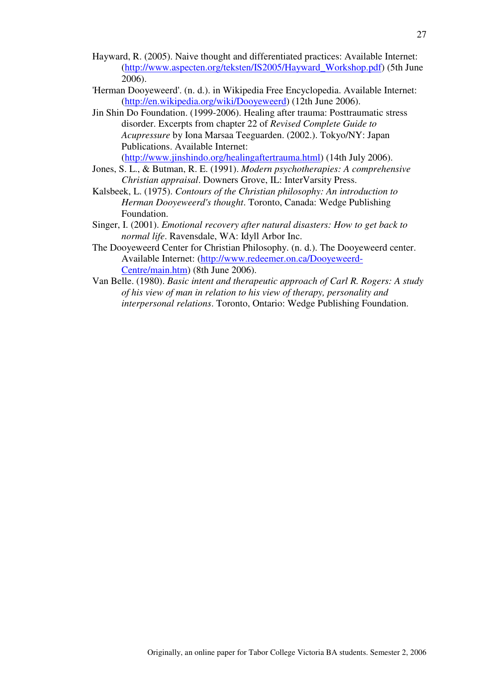- Hayward, R. (2005). Naive thought and differentiated practices: Available Internet: (http://www.aspecten.org/teksten/IS2005/Hayward\_Workshop.pdf) (5th June 2006).
- 'Herman Dooyeweerd'. (n. d.). in Wikipedia Free Encyclopedia. Available Internet: (http://en.wikipedia.org/wiki/Dooyeweerd) (12th June 2006).
- Jin Shin Do Foundation. (1999-2006). Healing after trauma: Posttraumatic stress disorder. Excerpts from chapter 22 of *Revised Complete Guide to Acupressure* by Iona Marsaa Teeguarden. (2002.). Tokyo/NY: Japan Publications. Available Internet: (http://www.jinshindo.org/healingaftertrauma.html) (14th July 2006).
- Jones, S. L., & Butman, R. E. (1991). *Modern psychotherapies: A comprehensive Christian appraisal*. Downers Grove, IL: InterVarsity Press.
- Kalsbeek, L. (1975). *Contours of the Christian philosophy: An introduction to Herman Dooyeweerd's thought*. Toronto, Canada: Wedge Publishing Foundation.
- Singer, I. (2001). *Emotional recovery after natural disasters: How to get back to normal life*. Ravensdale, WA: Idyll Arbor Inc.
- The Dooyeweerd Center for Christian Philosophy. (n. d.). The Dooyeweerd center. Available Internet: (http://www.redeemer.on.ca/Dooyeweerd-Centre/main.htm) (8th June 2006).
- Van Belle. (1980). *Basic intent and therapeutic approach of Carl R. Rogers: A study of his view of man in relation to his view of therapy, personality and interpersonal relations*. Toronto, Ontario: Wedge Publishing Foundation.